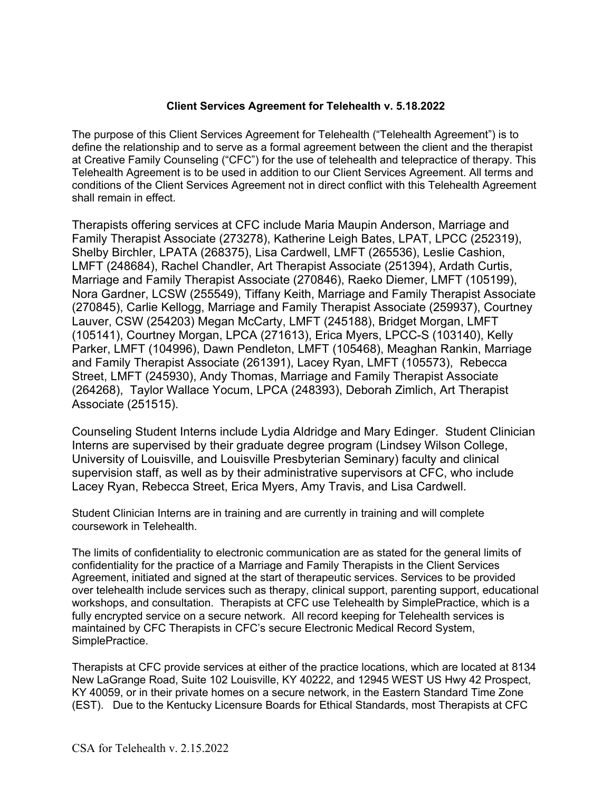# **Client Services Agreement for Telehealth v. 5.18.2022**

The purpose of this Client Services Agreement for Telehealth ("Telehealth Agreement") is to define the relationship and to serve as a formal agreement between the client and the therapist at Creative Family Counseling ("CFC") for the use of telehealth and telepractice of therapy. This Telehealth Agreement is to be used in addition to our Client Services Agreement. All terms and conditions of the Client Services Agreement not in direct conflict with this Telehealth Agreement shall remain in effect.

Therapists offering services at CFC include Maria Maupin Anderson, Marriage and Family Therapist Associate (273278), Katherine Leigh Bates, LPAT, LPCC (252319), Shelby Birchler, LPATA (268375), Lisa Cardwell, LMFT (265536), Leslie Cashion, LMFT (248684), Rachel Chandler, Art Therapist Associate (251394), Ardath Curtis, Marriage and Family Therapist Associate (270846), Raeko Diemer, LMFT (105199), Nora Gardner, LCSW (255549), Tiffany Keith, Marriage and Family Therapist Associate (270845), Carlie Kellogg, Marriage and Family Therapist Associate (259937), Courtney Lauver, CSW (254203) Megan McCarty, LMFT (245188), Bridget Morgan, LMFT (105141), Courtney Morgan, LPCA (271613), Erica Myers, LPCC-S (103140), Kelly Parker, LMFT (104996), Dawn Pendleton, LMFT (105468), Meaghan Rankin, Marriage and Family Therapist Associate (261391), Lacey Ryan, LMFT (105573), Rebecca Street, LMFT (245930), Andy Thomas, Marriage and Family Therapist Associate (264268), Taylor Wallace Yocum, LPCA (248393), Deborah Zimlich, Art Therapist Associate (251515).

Counseling Student Interns include Lydia Aldridge and Mary Edinger. Student Clinician Interns are supervised by their graduate degree program (Lindsey Wilson College, University of Louisville, and Louisville Presbyterian Seminary) faculty and clinical supervision staff, as well as by their administrative supervisors at CFC, who include Lacey Ryan, Rebecca Street, Erica Myers, Amy Travis, and Lisa Cardwell.

Student Clinician Interns are in training and are currently in training and will complete coursework in Telehealth.

The limits of confidentiality to electronic communication are as stated for the general limits of confidentiality for the practice of a Marriage and Family Therapists in the Client Services Agreement, initiated and signed at the start of therapeutic services. Services to be provided over telehealth include services such as therapy, clinical support, parenting support, educational workshops, and consultation. Therapists at CFC use Telehealth by SimplePractice, which is a fully encrypted service on a secure network. All record keeping for Telehealth services is maintained by CFC Therapists in CFC's secure Electronic Medical Record System, SimplePractice.

Therapists at CFC provide services at either of the practice locations, which are located at 8134 New LaGrange Road, Suite 102 Louisville, KY 40222, and 12945 WEST US Hwy 42 Prospect, KY 40059, or in their private homes on a secure network, in the Eastern Standard Time Zone (EST). Due to the Kentucky Licensure Boards for Ethical Standards, most Therapists at CFC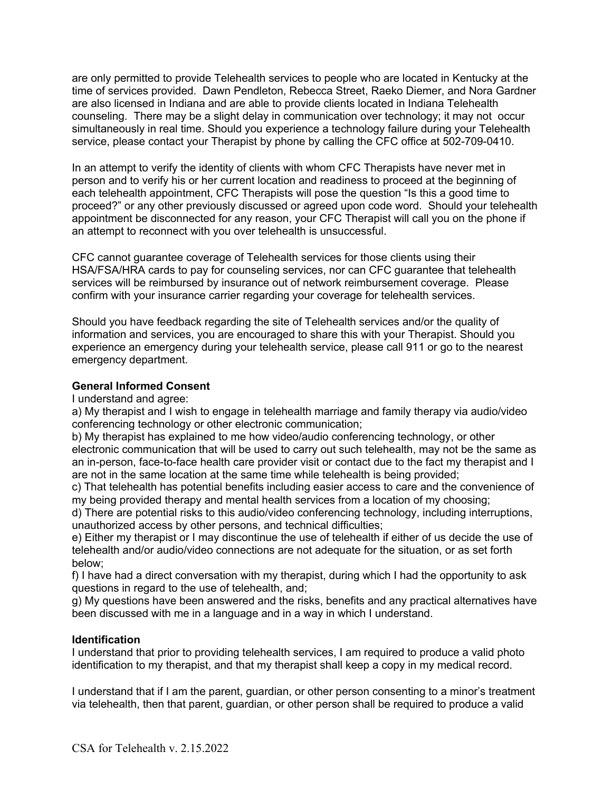are only permitted to provide Telehealth services to people who are located in Kentucky at the time of services provided. Dawn Pendleton, Rebecca Street, Raeko Diemer, and Nora Gardner are also licensed in Indiana and are able to provide clients located in Indiana Telehealth counseling. There may be a slight delay in communication over technology; it may not occur simultaneously in real time. Should you experience a technology failure during your Telehealth service, please contact your Therapist by phone by calling the CFC office at 502-709-0410.

In an attempt to verify the identity of clients with whom CFC Therapists have never met in person and to verify his or her current location and readiness to proceed at the beginning of each telehealth appointment, CFC Therapists will pose the question "Is this a good time to proceed?" or any other previously discussed or agreed upon code word. Should your telehealth appointment be disconnected for any reason, your CFC Therapist will call you on the phone if an attempt to reconnect with you over telehealth is unsuccessful.

CFC cannot guarantee coverage of Telehealth services for those clients using their HSA/FSA/HRA cards to pay for counseling services, nor can CFC guarantee that telehealth services will be reimbursed by insurance out of network reimbursement coverage. Please confirm with your insurance carrier regarding your coverage for telehealth services.

Should you have feedback regarding the site of Telehealth services and/or the quality of information and services, you are encouraged to share this with your Therapist. Should you experience an emergency during your telehealth service, please call 911 or go to the nearest emergency department.

# **General Informed Consent**

I understand and agree:

a) My therapist and I wish to engage in telehealth marriage and family therapy via audio/video conferencing technology or other electronic communication;

b) My therapist has explained to me how video/audio conferencing technology, or other electronic communication that will be used to carry out such telehealth, may not be the same as an in-person, face-to-face health care provider visit or contact due to the fact my therapist and I are not in the same location at the same time while telehealth is being provided;

c) That telehealth has potential benefits including easier access to care and the convenience of my being provided therapy and mental health services from a location of my choosing;

d) There are potential risks to this audio/video conferencing technology, including interruptions, unauthorized access by other persons, and technical difficulties;

e) Either my therapist or I may discontinue the use of telehealth if either of us decide the use of telehealth and/or audio/video connections are not adequate for the situation, or as set forth below;

f) I have had a direct conversation with my therapist, during which I had the opportunity to ask questions in regard to the use of telehealth, and;

g) My questions have been answered and the risks, benefits and any practical alternatives have been discussed with me in a language and in a way in which I understand.

# **Identification**

I understand that prior to providing telehealth services, I am required to produce a valid photo identification to my therapist, and that my therapist shall keep a copy in my medical record.

I understand that if I am the parent, guardian, or other person consenting to a minor's treatment via telehealth, then that parent, guardian, or other person shall be required to produce a valid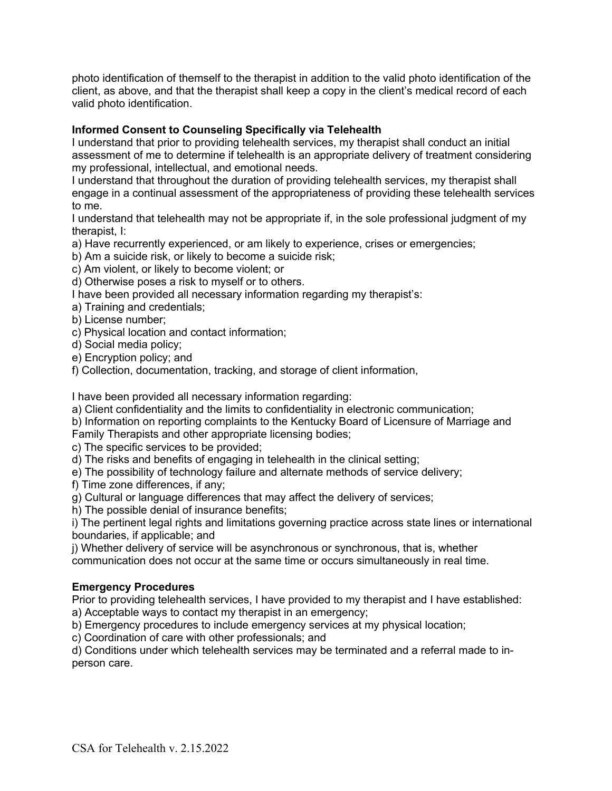photo identification of themself to the therapist in addition to the valid photo identification of the client, as above, and that the therapist shall keep a copy in the client's medical record of each valid photo identification.

# **Informed Consent to Counseling Specifically via Telehealth**

I understand that prior to providing telehealth services, my therapist shall conduct an initial assessment of me to determine if telehealth is an appropriate delivery of treatment considering my professional, intellectual, and emotional needs.

I understand that throughout the duration of providing telehealth services, my therapist shall engage in a continual assessment of the appropriateness of providing these telehealth services to me.

I understand that telehealth may not be appropriate if, in the sole professional judgment of my therapist, I:

a) Have recurrently experienced, or am likely to experience, crises or emergencies;

b) Am a suicide risk, or likely to become a suicide risk;

c) Am violent, or likely to become violent; or

d) Otherwise poses a risk to myself or to others.

I have been provided all necessary information regarding my therapist's:

a) Training and credentials;

b) License number;

c) Physical location and contact information;

d) Social media policy;

e) Encryption policy; and

f) Collection, documentation, tracking, and storage of client information,

I have been provided all necessary information regarding:

a) Client confidentiality and the limits to confidentiality in electronic communication;

b) Information on reporting complaints to the Kentucky Board of Licensure of Marriage and

Family Therapists and other appropriate licensing bodies;

c) The specific services to be provided;

d) The risks and benefits of engaging in telehealth in the clinical setting;

e) The possibility of technology failure and alternate methods of service delivery;

f) Time zone differences, if any;

g) Cultural or language differences that may affect the delivery of services;

h) The possible denial of insurance benefits;

i) The pertinent legal rights and limitations governing practice across state lines or international boundaries, if applicable; and

j) Whether delivery of service will be asynchronous or synchronous, that is, whether communication does not occur at the same time or occurs simultaneously in real time.

# **Emergency Procedures**

Prior to providing telehealth services, I have provided to my therapist and I have established:

a) Acceptable ways to contact my therapist in an emergency;

b) Emergency procedures to include emergency services at my physical location;

c) Coordination of care with other professionals; and

d) Conditions under which telehealth services may be terminated and a referral made to inperson care.